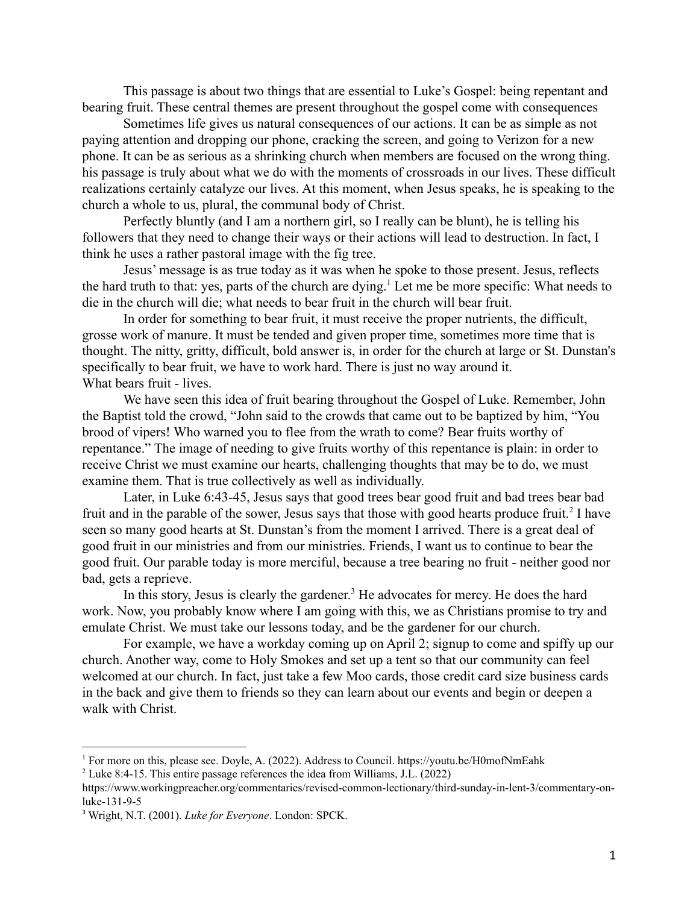This passage is about two things that are essential to Luke's Gospel: being repentant and bearing fruit. These central themes are present throughout the gospel come with consequences

Sometimes life gives us natural consequences of our actions. It can be as simple as not paying attention and dropping our phone, cracking the screen, and going to Verizon for a new phone. It can be as serious as a shrinking church when members are focused on the wrong thing. his passage is truly about what we do with the moments of crossroads in our lives. These difficult realizations certainly catalyze our lives. At this moment, when Jesus speaks, he is speaking to the church a whole to us, plural, the communal body of Christ.

Perfectly bluntly (and I am a northern girl, so I really can be blunt), he is telling his followers that they need to change their ways or their actions will lead to destruction. In fact, I think he uses a rather pastoral image with the fig tree.

Jesus' message is as true today as it was when he spoke to those present. Jesus, reflects the hard truth to that: yes, parts of the church are dying.<sup>1</sup> Let me be more specific: What needs to die in the church will die; what needs to bear fruit in the church will bear fruit.

In order for something to bear fruit, it must receive the proper nutrients, the difficult, grosse work of manure. It must be tended and given proper time, sometimes more time that is thought. The nitty, gritty, difficult, bold answer is, in order for the church at large or St. Dunstan's specifically to bear fruit, we have to work hard. There is just no way around it. What bears fruit - lives.

We have seen this idea of fruit bearing throughout the Gospel of Luke. Remember, John the Baptist told the crowd, "John said to the crowds that came out to be baptized by him, "You brood of vipers! Who warned you to flee from the wrath to come? Bear fruits worthy of repentance." The image of needing to give fruits worthy of this repentance is plain: in order to receive Christ we must examine our hearts, challenging thoughts that may be to do, we must examine them. That is true collectively as well as individually.

Later, in Luke 6:43-45, Jesus says that good trees bear good fruit and bad trees bear bad fruit and in the parable of the sower, Jesus says that those with good hearts produce fruit.<sup>2</sup> I have seen so many good hearts at St. Dunstan's from the moment I arrived. There is a great deal of good fruit in our ministries and from our ministries. Friends, I want us to continue to bear the good fruit. Our parable today is more merciful, because a tree bearing no fruit - neither good nor bad, gets a reprieve.

In this story, Jesus is clearly the gardener.<sup>3</sup> He advocates for mercy. He does the hard work. Now, you probably know where I am going with this, we as Christians promise to try and emulate Christ. We must take our lessons today, and be the gardener for our church.

For example, we have a workday coming up on April 2; signup to come and spiffy up our church. Another way, come to Holy Smokes and set up a tent so that our community can feel welcomed at our church. In fact, just take a few Moo cards, those credit card size business cards in the back and give them to friends so they can learn about our events and begin or deepen a walk with Christ.

<sup>1</sup> For more on this, please see. Doyle, A. (2022). Address to Council. https://youtu.be/H0mofNmEahk

<sup>2</sup> Luke 8:4-15. This entire passage references the idea from Williams, J.L. (2022)

https://www.workingpreacher.org/commentaries/revised-common-lectionary/third-sunday-in-lent-3/commentary-onluke-131-9-5

<sup>3</sup> Wright, N.T. (2001). *Luke for Everyone*. London: SPCK.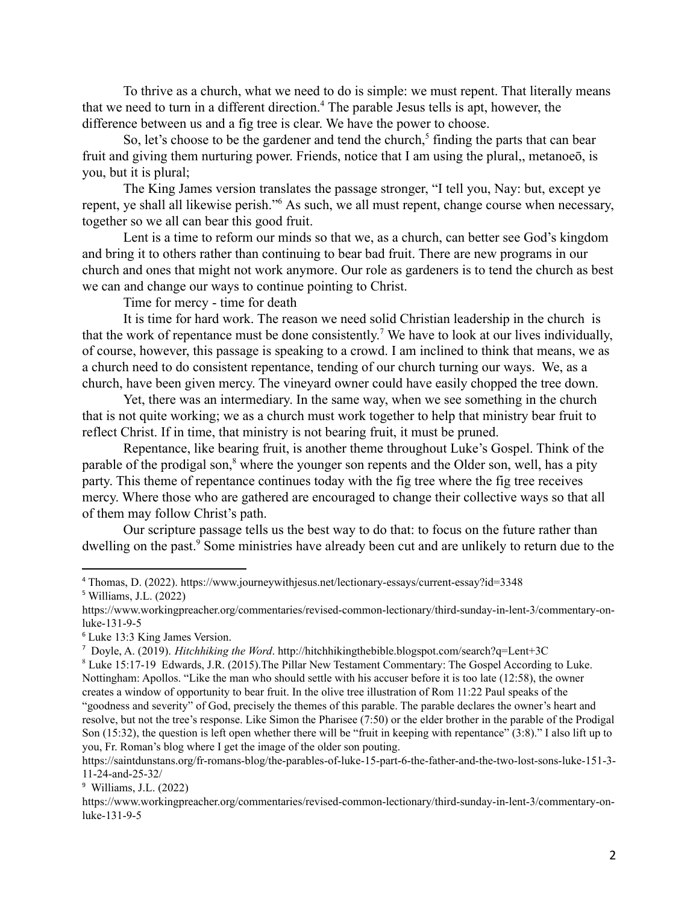To thrive as a church, what we need to do is simple: we must repent. That literally means that we need to turn in a different direction.<sup>4</sup> The parable Jesus tells is apt, however, the difference between us and a fig tree is clear. We have the power to choose.

So, let's choose to be the gardener and tend the church, $<sup>5</sup>$  finding the parts that can bear</sup> fruit and giving them nurturing power. Friends, notice that I am using the plural,, metanoeō, is you, but it is plural;

The King James version translates the passage stronger, "I tell you, Nay: but, except ye repent, ye shall all likewise perish."<sup>6</sup> As such, we all must repent, change course when necessary, together so we all can bear this good fruit.

Lent is a time to reform our minds so that we, as a church, can better see God's kingdom and bring it to others rather than continuing to bear bad fruit. There are new programs in our church and ones that might not work anymore. Our role as gardeners is to tend the church as best we can and change our ways to continue pointing to Christ.

Time for mercy - time for death

It is time for hard work. The reason we need solid Christian leadership in the church is that the work of repentance must be done consistently.<sup>7</sup> We have to look at our lives individually, of course, however, this passage is speaking to a crowd. I am inclined to think that means, we as a church need to do consistent repentance, tending of our church turning our ways. We, as a church, have been given mercy. The vineyard owner could have easily chopped the tree down.

Yet, there was an intermediary. In the same way, when we see something in the church that is not quite working; we as a church must work together to help that ministry bear fruit to reflect Christ. If in time, that ministry is not bearing fruit, it must be pruned.

Repentance, like bearing fruit, is another theme throughout Luke's Gospel. Think of the parable of the prodigal son,<sup>8</sup> where the younger son repents and the Older son, well, has a pity party. This theme of repentance continues today with the fig tree where the fig tree receives mercy. Where those who are gathered are encouraged to change their collective ways so that all of them may follow Christ's path.

Our scripture passage tells us the best way to do that: to focus on the future rather than dwelling on the past.<sup>9</sup> Some ministries have already been cut and are unlikely to return due to the

<sup>6</sup> Luke 13:3 King James Version.

https://saintdunstans.org/fr-romans-blog/the-parables-of-luke-15-part-6-the-father-and-the-two-lost-sons-luke-151-3- 11-24-and-25-32/

 $9$  Williams, J.L. (2022)

https://www.workingpreacher.org/commentaries/revised-common-lectionary/third-sunday-in-lent-3/commentary-onluke-131-9-5

<sup>4</sup> Thomas, D. (2022). https://www.journeywithjesus.net/lectionary-essays/current-essay?id=3348

<sup>5</sup> Williams, J.L. (2022)

https://www.workingpreacher.org/commentaries/revised-common-lectionary/third-sunday-in-lent-3/commentary-onluke-131-9-5

<sup>7</sup> Doyle, A. (2019). *Hitchhiking the Word*. http://hitchhikingthebible.blogspot.com/search?q=Lent+3C

<sup>8</sup> Luke 15:17-19 Edwards, J.R. (2015).The Pillar New Testament Commentary: The Gospel According to Luke. Nottingham: Apollos. "Like the man who should settle with his accuser before it is too late (12:58), the owner creates a window of opportunity to bear fruit. In the olive tree illustration of Rom 11:22 Paul speaks of the "goodness and severity" of God, precisely the themes of this parable. The parable declares the owner's heart and resolve, but not the tree's response. Like Simon the Pharisee (7:50) or the elder brother in the parable of the Prodigal Son (15:32), the question is left open whether there will be "fruit in keeping with repentance" (3:8)." I also lift up to you, Fr. Roman's blog where I get the image of the older son pouting.